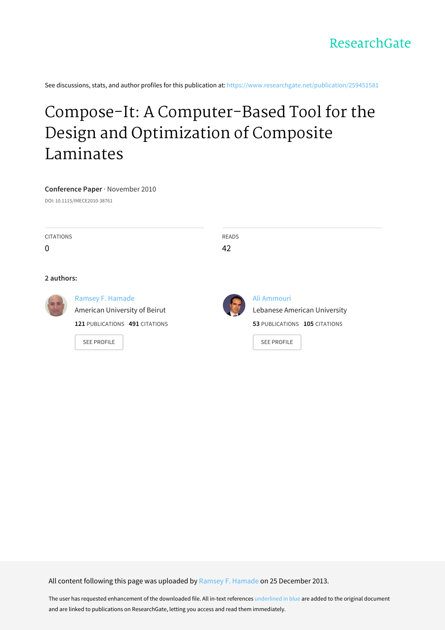See discussions, stats, and author profiles for this publication at: [https://www.researchgate.net/publication/259451581](https://www.researchgate.net/publication/259451581_Compose-It_A_Computer-Based_Tool_for_the_Design_and_Optimization_of_Composite_Laminates?enrichId=rgreq-2e7a5f3dc26724f60b49de9254075923-XXX&enrichSource=Y292ZXJQYWdlOzI1OTQ1MTU4MTtBUzo5NzYyNjU2MTE4Nzg0MkAxNDAwMjg3Mzk0MTc0&el=1_x_2&_esc=publicationCoverPdf)

# Compose-It: A [Computer-Based](https://www.researchgate.net/publication/259451581_Compose-It_A_Computer-Based_Tool_for_the_Design_and_Optimization_of_Composite_Laminates?enrichId=rgreq-2e7a5f3dc26724f60b49de9254075923-XXX&enrichSource=Y292ZXJQYWdlOzI1OTQ1MTU4MTtBUzo5NzYyNjU2MTE4Nzg0MkAxNDAwMjg3Mzk0MTc0&el=1_x_3&_esc=publicationCoverPdf) Tool for the Design and Optimization of Composite Laminates

#### **Conference Paper** · November 2010

DOI: 10.1115/IMECE2010-38761

| <b>CITATIONS</b><br>0 |                                                                                                           | <b>READS</b><br>42 |                                                                                                    |
|-----------------------|-----------------------------------------------------------------------------------------------------------|--------------------|----------------------------------------------------------------------------------------------------|
| 2 authors:            |                                                                                                           |                    |                                                                                                    |
|                       | Ramsey F. Hamade<br>American University of Beirut<br>121 PUBLICATIONS 491 CITATIONS<br><b>SEE PROFILE</b> |                    | Ali Ammouri<br>Lebanese American University<br>53 PUBLICATIONS 105 CITATIONS<br><b>SEE PROFILE</b> |

All content following this page was uploaded by Ramsey F. [Hamade](https://www.researchgate.net/profile/Ramsey_Hamade2?enrichId=rgreq-2e7a5f3dc26724f60b49de9254075923-XXX&enrichSource=Y292ZXJQYWdlOzI1OTQ1MTU4MTtBUzo5NzYyNjU2MTE4Nzg0MkAxNDAwMjg3Mzk0MTc0&el=1_x_10&_esc=publicationCoverPdf) on 25 December 2013.

The user has requested enhancement of the downloaded file. All in-text references underlined in blue are added to the original document and are linked to publications on ResearchGate, letting you access and read them immediately.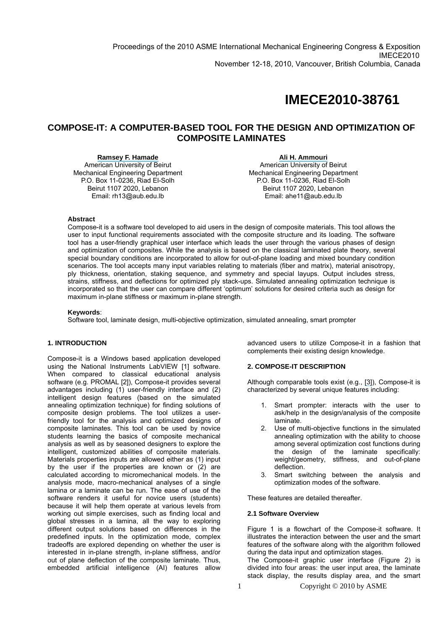## **IMECE2010-38761**

### **COMPOSE-IT: A COMPUTER-BASED TOOL FOR THE DESIGN AND OPTIMIZATION OF COMPOSITE LAMINATES**

**[Ramsey F. Hamade](https://www.researchgate.net/profile/Ramsey_Hamade2?el=1_x_100&enrichId=rgreq-2e7a5f3dc26724f60b49de9254075923-XXX&enrichSource=Y292ZXJQYWdlOzI1OTQ1MTU4MTtBUzo5NzYyNjU2MTE4Nzg0MkAxNDAwMjg3Mzk0MTc0)**  American University of Beirut Mechanical Engineering Department P.O. Box 11-0236, Riad El-Solh Beirut 1107 2020, Lebanon Email: rh13@aub.edu.lb

**[Ali H. Ammouri](https://www.researchgate.net/profile/Ali_Ammouri2?el=1_x_100&enrichId=rgreq-2e7a5f3dc26724f60b49de9254075923-XXX&enrichSource=Y292ZXJQYWdlOzI1OTQ1MTU4MTtBUzo5NzYyNjU2MTE4Nzg0MkAxNDAwMjg3Mzk0MTc0)**  American University of Beirut Mechanical Engineering Department P.O. Box 11-0236, Riad El-Solh Beirut 1107 2020, Lebanon Email: ahe11@aub.edu.lb

#### **Abstract**

Compose-it is a software tool developed to aid users in the design of composite materials. This tool allows the user to input functional requirements associated with the composite structure and its loading. The software tool has a user-friendly graphical user interface which leads the user through the various phases of design and optimization of composites. While the analysis is based on the classical laminated plate theory, several special boundary conditions are incorporated to allow for out-of-plane loading and mixed boundary condition scenarios. The tool accepts many input variables relating to materials (fiber and matrix), material anisotropy, ply thickness, orientation, staking sequence, and symmetry and special layups. Output includes stress, strains, stiffness, and deflections for optimized ply stack-ups. Simulated annealing optimization technique is incorporated so that the user can compare different 'optimum' solutions for desired criteria such as design for maximum in-plane stiffness or maximum in-plane strength.

#### **Keywords**:

Software tool, laminate design, multi-objective optimization, simulated annealing, smart prompter

#### **1. INTRODUCTION**

Compose-it is a Windows based application developed using the National Instruments LabVIEW [1] software. When compared to classical educational analysis software (e.g. PROMAL [2]), Compose-it provides several advantages including (1) user-friendly interface and (2) intelligent design features (based on the simulated annealing optimization technique) for finding solutions of composite design problems. The tool utilizes a userfriendly tool for the analysis and optimized designs of composite laminates. This tool can be used by novice students learning the basics of composite mechanical analysis as well as by seasoned designers to explore the intelligent, customized abilities of composite materials. Materials properties inputs are allowed either as (1) input by the user if the properties are known or (2) are calculated according to micromechanical models. In the analysis mode, macro-mechanical analyses of a single lamina or a laminate can be run. The ease of use of the software renders it useful for novice users (students) because it will help them operate at various levels from working out simple exercises, such as finding local and global stresses in a lamina, all the way to exploring different output solutions based on differences in the predefined inputs. In the optimization mode, complex tradeoffs are explored depending on whether the user is interested in in-plane strength, in-plane stiffness, and/or out of plane deflection of the composite laminate. Thus, embedded artificial intelligence (AI) features allow

advanced users to utilize Compose-it in a fashion that complements their existing design knowledge.

#### **2. COMPOSE-IT DESCRIPTION**

Although comparable tools exist (e.g., [\[3\]](https://www.researchgate.net/publication/223307216_Development_of_a_user-friendly_expert_system_for_composite_laminate_design?el=1_x_8&enrichId=rgreq-2e7a5f3dc26724f60b49de9254075923-XXX&enrichSource=Y292ZXJQYWdlOzI1OTQ1MTU4MTtBUzo5NzYyNjU2MTE4Nzg0MkAxNDAwMjg3Mzk0MTc0)), Compose-it is characterized by several unique features including:

- 1. Smart prompter: interacts with the user to ask/help in the design/analysis of the composite laminate.
- 2. Use of multi-objective functions in the simulated annealing optimization with the ability to choose among several optimization cost functions during the design of the laminate specifically: weight/geometry, stiffness, and out-of-plane deflection.
- 3. Smart switching between the analysis and optimization modes of the software.

These features are detailed thereafter.

#### **2.1 Software Overview**

Figure 1 is a flowchart of the Compose-it software. It illustrates the interaction between the user and the smart features of the software along with the algorithm followed during the data input and optimization stages.

The Compose-it graphic user interface (Figure 2) is divided into four areas: the user input area, the laminate stack display, the results display area, and the smart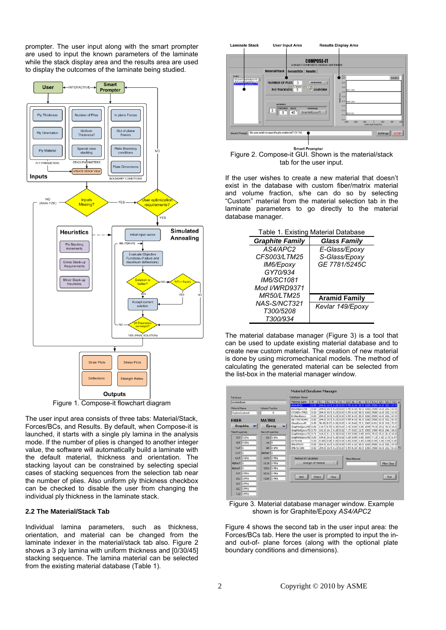prompter. The user input along with the smart prompter are used to input the known parameters of the laminate while the stack display area and the results area are used to display the outcomes of the laminate being studied.



Figure 1. Compose-it flowchart diagram

The user input area consists of three tabs: Material/Stack, Forces/BCs, and Results. By default, when Compose-it is launched, it starts with a single ply lamina in the analysis mode. If the number of plies is changed to another integer value, the software will automatically build a laminate with the default material, thickness and orientation. The stacking layout can be constrained by selecting special cases of stacking sequences from the selection tab near the number of plies. Also uniform ply thickness checkbox can be checked to disable the user from changing the individual ply thickness in the laminate stack.

#### **2.2 The Material/Stack Tab**

Individual lamina parameters, such as thickness, orientation, and material can be changed from the laminate indexer in the material/stack tab also. Figure 2 shows a 3 ply lamina with uniform thickness and  $[0/30/45]$ stacking sequence. The lamina material can be selected from the existing material database (Table 1).



**Smart Prompter** Figure 2. Compose-it GUI. Shown is the material/stack tab for the user input.

If the user wishes to create a new material that doesn't exist in the database with custom fiber/matrix material and volume fraction, s/he can do so by selecting "Custom" material from the material selection tab in the laminate parameters to go directly to the material database manager.

| Table 1. Existing Material Database |                      |  |  |  |  |
|-------------------------------------|----------------------|--|--|--|--|
| <b>Graphite Family</b>              | <b>Glass Family</b>  |  |  |  |  |
| AS4/APC2                            | E-Glass/Epoxy        |  |  |  |  |
| CFS003/LTM25                        | S-Glass/Epoxy        |  |  |  |  |
| IM6/Epoxy                           | GE 7781/5245C        |  |  |  |  |
| GY70/934                            |                      |  |  |  |  |
| <i>IM6/SC1081</i>                   |                      |  |  |  |  |
| Mod I/WRD9371                       |                      |  |  |  |  |
| <b>MR50/LTM25</b>                   | <b>Aramid Family</b> |  |  |  |  |
|                                     |                      |  |  |  |  |

*Kevlar 149/Epoxy* 

*NAS-S/NCT321 T300/5208 T300/934*

The material database manager (Figure 3) is a tool that can be used to update existing material database and to create new custom material. The creation of new material is done by using micromechanical models. The method of calculating the generated material can be selected from the list-box in the material manager window.

| Distabase             |                    |                         |                              |                                                              | <b>Database Viewer</b>                                                |      |                                                                   |                |        |  |                 |                     |                                                                                   |      |                                                      |
|-----------------------|--------------------|-------------------------|------------------------------|--------------------------------------------------------------|-----------------------------------------------------------------------|------|-------------------------------------------------------------------|----------------|--------|--|-----------------|---------------------|-----------------------------------------------------------------------------------|------|------------------------------------------------------|
| mydetabase            |                    |                         |                              |                                                              | <b>Material Name</b>                                                  | M    | E1                                                                | E <sub>2</sub> | 1v1    |  |                 |                     |                                                                                   |      | V2   G12   a1   a2   S1T   S1C   S2T   S2C   T12   A |
| <b>Material Name</b>  |                    | <b>Volume Praction</b>  |                              |                                                              | AS4-APC2                                                              | 0.50 |                                                                   |                |        |  | 6.10            |                     | 1260 2500 61.0 202. 67.0<br>18.5 0.21 0.03 5.59 6.10 30.3 1260 2500 61.0 202 67.0 |      |                                                      |
|                       |                    |                         | BoronEpoxy50<br>CFS003-LTM25 | 0.50<br>0.50                                                 | 204.0<br>204.0 18.5 0.23 0.03 5.59 6.10 30.3 1260 2500 61.0 202. 67.0 |      |                                                                   |                |        |  |                 |                     |                                                                                   |      |                                                      |
| CustomCustom0<br>o    |                    | E-GlassEpoxy            | 0.50                         | 204.0 18.5 0.23 0.03 5.59 6.10 30.3 1260 2500 61.0 202, 67.0 |                                                                       |      |                                                                   |                |        |  |                 |                     |                                                                                   |      |                                                      |
| <b>MATRIX</b>         |                    |                         | GE-7781-5245C                | 0.50                                                         | 204.0 18.5 0.23 0.03 5.59 6.10 30.3 1260 2500 61.0 202.167.0          |      |                                                                   |                |        |  |                 |                     |                                                                                   |      |                                                      |
| <b>FIBER</b>          |                    |                         |                              |                                                              | GlassEpport45                                                         | 0.45 | 38.60 8.27 0.26 0.03 4.14 8.60 22.1 1062 610.1 31.0 118, 72.0     |                |        |  |                 |                     |                                                                                   |      |                                                      |
|                       | Graphite           |                         | Epoxy                        |                                                              | GraphiteEpoxy50, 0.50                                                 |      | 116.7 6.70 0.30 0.01 2.46 0.00 0.00 1048 70.00 29.2 43.0 16.0     |                |        |  |                 |                     |                                                                                   |      |                                                      |
|                       |                    | <b>MatrixProperties</b> |                              |                                                              | GraphiteEpoxy70 0.70                                                  |      | 181.0 10.3 0.28 0.02 7.17 0.02 22.5 1500 1500 40.0 246 68.0       |                |        |  |                 |                     |                                                                                   |      |                                                      |
| FiberProperties       |                    |                         |                              |                                                              | GraphiteEpoxy71 0.71                                                  |      | 164.2 11.3 0.30 0.02 3.93 0.00 0.00 1476 70.8 15.1 21.4 10.8      |                |        |  |                 |                     |                                                                                   |      |                                                      |
|                       | Elf 0 CPa          |                         | $Em 0$ GPa                   |                                                              | GraphiteEpoxy00 0.00                                                  |      | 104.6 16.0 0.30 0.02 5.20 0.00 0.00 1659 71.21 1.92 2.72 6.97     |                |        |  |                 |                     |                                                                                   |      |                                                      |
| E2E                   | lo cp <sub>a</sub> | ves 10                  |                              |                                                              | GY70-934                                                              | 0.00 | 0.000 0.00 0.00 0.00 0.00 0.00 0.00 0.00 0.00 0.00 0.00 0.00 0.00 |                |        |  |                 |                     |                                                                                   |      |                                                      |
|                       |                    |                         |                              |                                                              | <b>IMG EPOXY</b>                                                      | 0.50 | 204.0 18.5 0.23 0.03 5.59 6.10 30.3 1260 2500 61.0 202 67.0       |                |        |  |                 |                     |                                                                                   |      |                                                      |
| v12f                  | îο                 |                         | Gm O GPa                     |                                                              | IM6-SC1081                                                            | 0.50 | 201.0 18.5 0.23 0.03 5.59 6.10 30.3 1260 2500 61.0 202. 67.0 1    |                |        |  |                 |                     |                                                                                   |      |                                                      |
| v21f.0                |                    | Alpham 0                |                              |                                                              |                                                                       |      |                                                                   |                |        |  |                 |                     |                                                                                   |      |                                                      |
|                       | G12F O GPa         |                         | StTm 0MPa                    |                                                              | Method of Calculation                                                 |      |                                                                   |                |        |  | Filter Maharial |                     |                                                                                   |      |                                                      |
| Alphalf <sup>10</sup> |                    |                         | SIGm 0MPa                    |                                                              | Strength Of Material<br>高                                             |      |                                                                   |                |        |  |                 | <b>Filter Clear</b> |                                                                                   |      |                                                      |
|                       |                    |                         |                              |                                                              |                                                                       |      |                                                                   |                |        |  |                 |                     |                                                                                   |      |                                                      |
| Alcha7f               | l۵                 |                         | 52Tm 0 MPa                   |                                                              |                                                                       |      |                                                                   |                |        |  |                 |                     |                                                                                   |      |                                                      |
| S1T                   | <b>TO MPA</b>      |                         | S2Cm 01/Pa                   |                                                              |                                                                       |      |                                                                   |                |        |  |                 |                     |                                                                                   |      |                                                      |
|                       | SIC O MPa          |                         | T12m 0 MPa                   |                                                              | Add                                                                   |      | Delete.                                                           |                | Cinar. |  |                 |                     |                                                                                   | Exit |                                                      |
| 527                   | lonpa              |                         |                              |                                                              |                                                                       |      |                                                                   |                |        |  |                 |                     |                                                                                   |      |                                                      |
|                       | 52C O MPa          |                         |                              |                                                              |                                                                       |      |                                                                   |                |        |  |                 |                     |                                                                                   |      |                                                      |
|                       | T12 OMPa           |                         |                              |                                                              |                                                                       |      |                                                                   |                |        |  |                 |                     |                                                                                   |      |                                                      |

Figure 3. Material database manager window. Example shown is for Graphite/Epoxy *AS4/APC2* 

Figure 4 shows the second tab in the user input area: the Forces/BCs tab. Here the user is prompted to input the inand out-of- plane forces (along with the optional plate boundary conditions and dimensions).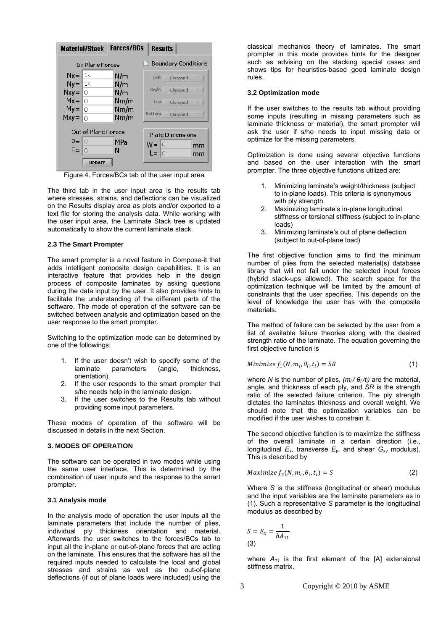| <b>Material/Stack</b> |                            | <b>Forces/BCs</b>          | <b>Results</b>           |  |  |  |
|-----------------------|----------------------------|----------------------------|--------------------------|--|--|--|
|                       | <b>In-Plane Forces</b>     | <b>Boundary Conditions</b> |                          |  |  |  |
| $Nx =$<br>$Ny =$      | 1k<br>l 1k                 | N/m                        | Left<br>Clamped          |  |  |  |
| $Nxy =$               | Ю                          | N/m<br>N/m                 | <b>Right</b><br>Clamped  |  |  |  |
| $Mx =$<br>$My =$      | l∩<br>0                    | Nm/m<br>Nm/m               | Top<br>Clamped           |  |  |  |
| $Mxy =$               | 0                          | Nm/m                       | <b>Bottom</b><br>Clamped |  |  |  |
|                       | <b>Out of Plane Forces</b> | <b>Plate Dimensions</b>    |                          |  |  |  |
| P= 10<br>F=           |                            | <b>MPa</b><br>N            | $W =$<br>ШO<br>mm        |  |  |  |
|                       | <b>UPDATE</b>              |                            | L=<br>mm                 |  |  |  |

Figure 4. Forces/BCs tab of the user input area

The third tab in the user input area is the results tab where stresses, strains, and deflections can be visualized on the Results display area as plots and/or exported to a text file for storing the analysis data. While working with the user input area, the Laminate Stack tree is updated automatically to show the current laminate stack.

#### **2.3 The Smart Prompter**

The smart prompter is a novel feature in Compose-it that adds intelligent composite design capabilities. It is an interactive feature that provides help in the design process of composite laminates by asking questions during the data input by the user. It also provides hints to facilitate the understanding of the different parts of the software. The mode of operation of the software can be switched between analysis and optimization based on the user response to the smart prompter.

Switching to the optimization mode can be determined by one of the followings:

- 1. If the user doesn't wish to specify some of the laminate parameters (angle, thickness, orientation).
- 2. If the user responds to the smart prompter that s/he needs help in the laminate design.
- 3. If the user switches to the Results tab without providing some input parameters.

These modes of operation of the software will be discussed in details in the next Section.

#### **3. MODES OF OPERATION**

The software can be operated in two modes while using the same user interface. This is determined by the combination of user inputs and the response to the smart prompter.

#### **3.1 Analysis mode**

In the analysis mode of operation the user inputs all the laminate parameters that include the number of plies, individual ply thickness orientation and material. Afterwards the user switches to the forces/BCs tab to input all the in-plane or out-of-plane forces that are acting on the laminate. This ensures that the software has all the required inputs needed to calculate the local and global stresses and strains as well as the out-of-plane deflections (if out of plane loads were included) using the

classical mechanics theory of laminates. The smart prompter in this mode provides hints for the designer such as advising on the stacking special cases and shows tips for heuristics-based good laminate design rules.

#### **3.2 Optimization mode**

If the user switches to the results tab without providing some inputs (resulting in missing parameters such as laminate thickness or material), the smart prompter will ask the user if s/he needs to input missing data or optimize for the missing parameters.

Optimization is done using several objective functions and based on the user interaction with the smart prompter. The three objective functions utilized are:

- 1. Minimizing laminate's weight/thickness (subject to in-plane loads). This criteria is synonymous with ply strength.
- 2. Maximizing laminate's in-plane longitudinal stiffness or torsional stiffness (subject to in-plane loads)
- 3. Minimizing laminate's out of plane deflection (subject to out-of-plane load)

The first objective function aims to find the minimum number of plies from the selected material(s) database library that will not fail under the selected input forces (hybrid stack-ups allowed). The search space for the optimization technique will be limited by the amount of constraints that the user specifies. This depends on the level of knowledge the user has with the composite materials.

The method of failure can be selected by the user from a list of available failure theories along with the desired strength ratio of the laminate. The equation governing the first objective function is

Minimize 
$$
f_1(N, m_i, \theta_i, t_i) = SR
$$
 (1)

where *N* is the number of plies,  $(m<sub>i</sub>/θ<sub>l</sub>/t<sub>i</sub>)$  are the material, angle, and thickness of each ply, and *SR* is the strength ratio of the selected failure criterion. The ply strength dictates the laminates thickness and overall weight. We should note that the optimization variables can be modified if the user wishes to constrain it.

The second objective function is to maximize the stiffness of the overall laminate in a certain direction (i.e., longitudinal  $E_x$ , transverse  $E_y$ , and shear  $G_{xy}$  modulus). This is described by

$$
Maximize f_2(N, m_i, \theta_i, t_i) = S
$$
 (2)

Where *S* is the stiffness (longitudinal or shear) modulus and the input variables are the laminate parameters as in (1). Such a representative *S* parameter is the longitudinal modulus as described by

$$
S = E_x = \frac{1}{hA_{11}}
$$
  
(3)

where  $A_{11}$  is the first element of the [A] extensional stiffness matrix.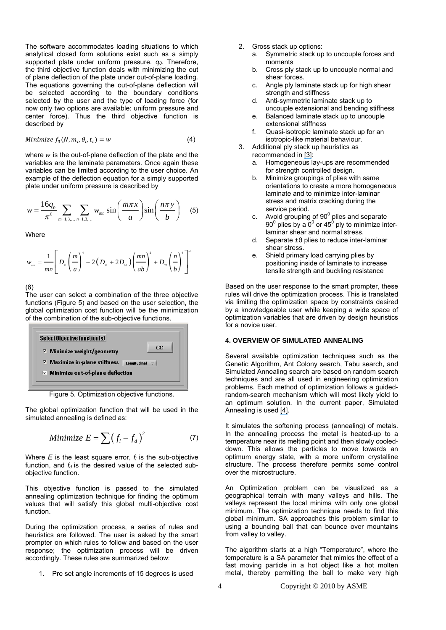The software accommodates loading situations to which analytical closed form solutions exist such as a simply supported plate under uniform pressure.  $q_0$ . Therefore, the third objective function deals with minimizing the out of plane deflection of the plate under out-of-plane loading. The equations governing the out-of-plane deflection will be selected according to the boundary conditions selected by the user and the type of loading force (for now only two options are available: uniform pressure and center force). Thus the third objective function is described by

Minimize 
$$
f_3(N, m_i, \theta_i, t_i) = w
$$
 (4)

where  $w$  is the out-of-plane deflection of the plate and the variables are the laminate parameters. Once again these variables can be limited according to the user choice. An example of the deflection equation for a simply supported plate under uniform pressure is described by

$$
w = \frac{16q_0}{\pi^6} \sum_{m=1,3,...} \sum_{n=1,3,...} w_{mn} \sin\left(\frac{m\pi x}{a}\right) \sin\left(\frac{n\pi y}{b}\right) \quad (5)
$$

**Where** 

$$
w_{_{mn}} = \frac{1}{mn} \left[ D_{_{11}} \left( \frac{m}{a} \right)^4 + 2 \left( D_{_{12}} + 2 D_{_{66}} \right) \left( \frac{mn}{ab} \right)^2 + D_{_{22}} \left( \frac{n}{b} \right)^4 \right]^{-1}
$$

(6)

The user can select a combination of the three objective functions (Figure 5) and based on the user selection, the global optimization cost function will be the minimization of the combination of the sub-objective functions.

| <b>Select Objective function(s)</b>       |              |  |  |  |  |
|-------------------------------------------|--------------|--|--|--|--|
| $\nabla$ Minimize weight/geometry         | GO           |  |  |  |  |
| $\nabla$ Maximize in-plane stiffness      | Longitudinal |  |  |  |  |
| $\nabla$ Minimize out-of-plane deflection |              |  |  |  |  |

Figure 5. Optimization objective functions.

The global optimization function that will be used in the simulated annealing is defined as:

$$
Minimize E = \sum (f_i - f_d)^2 \tag{7}
$$

Where *E* is the least square error, *fi* is the sub-objective function, and  $f_d$  is the desired value of the selected subobjective function.

This objective function is passed to the simulated annealing optimization technique for finding the optimum values that will satisfy this global multi-objective cost function.

During the optimization process, a series of rules and heuristics are followed. The user is asked by the smart prompter on which rules to follow and based on the user response; the optimization process will be driven accordingly. These rules are summarized below:

1. Pre set angle increments of 15 degrees is used

- 2. Gross stack up options:
	- a. Symmetric stack up to uncouple forces and moments
	- b. Cross ply stack up to uncouple normal and shear forces.
	- c. Angle ply laminate stack up for high shear strength and stiffness
	- d. Anti-symmetric laminate stack up to uncouple extensional and bending stiffness
	- e. Balanced laminate stack up to uncouple extensional stiffness
	- f. Quasi-isotropic laminate stack up for an isotropic-like material behaviour.
- 3. Additional ply stack up heuristics as recommended in [\[3\]](https://www.researchgate.net/publication/223307216_Development_of_a_user-friendly_expert_system_for_composite_laminate_design?el=1_x_8&enrichId=rgreq-2e7a5f3dc26724f60b49de9254075923-XXX&enrichSource=Y292ZXJQYWdlOzI1OTQ1MTU4MTtBUzo5NzYyNjU2MTE4Nzg0MkAxNDAwMjg3Mzk0MTc0):
	- a. Homogeneous lay-ups are recommended for strength controlled design.
	- b. Minimize groupings of plies with same orientations to create a more homogeneous laminate and to minimize inter-laminar stress and matrix cracking during the service period.
	- c. Avoid grouping of  $90^{\circ}$  plies and separate 90 $^{\rm 0}$  plies by a 0 $^{\rm 0}$  or 45 $^{\rm 0}$  ply to minimize interlaminar shear and normal stress.
	- d. Separate ±θ plies to reduce inter-laminar shear stress.
	- e. Shield primary load carrying plies by positioning inside of laminate to increase tensile strength and buckling resistance

Based on the user response to the smart prompter, these rules will drive the optimization process. This is translated via limiting the optimization space by constraints desired by a knowledgeable user while keeping a wide space of optimization variables that are driven by design heuristics for a novice user.

#### **4. OVERVIEW OF SIMULATED ANNEALING**

Several available optimization techniques such as the Genetic Algorithm, Ant Colony search, Tabu search, and Simulated Annealing search are based on random search techniques and are all used in engineering optimization problems. Each method of optimization follows a guidedrandom-search mechanism which will most likely yield to an optimum solution. In the current paper, Simulated Annealing is used [\[4\]](https://www.researchgate.net/publication/228588621_Simulated_annealing_and_genetic_algorithms_applied_to_finishing_mill_optimisation_for_hot_rolling_of_wide_steel_strip?el=1_x_8&enrichId=rgreq-2e7a5f3dc26724f60b49de9254075923-XXX&enrichSource=Y292ZXJQYWdlOzI1OTQ1MTU4MTtBUzo5NzYyNjU2MTE4Nzg0MkAxNDAwMjg3Mzk0MTc0).

It simulates the softening process (annealing) of metals. In the annealing process the metal is heated-up to a temperature near its melting point and then slowly cooleddown. This allows the particles to move towards an optimum energy state, with a more uniform crystalline structure. The process therefore permits some control over the microstructure.

An Optimization problem can be visualized as a geographical terrain with many valleys and hills. The valleys represent the local minima with only one global minimum. The optimization technique needs to find this global minimum. SA approaches this problem similar to using a bouncing ball that can bounce over mountains from valley to valley.

The algorithm starts at a high "Temperature", where the temperature is a SA parameter that mimics the effect of a fast moving particle in a hot object like a hot molten metal, thereby permitting the ball to make very high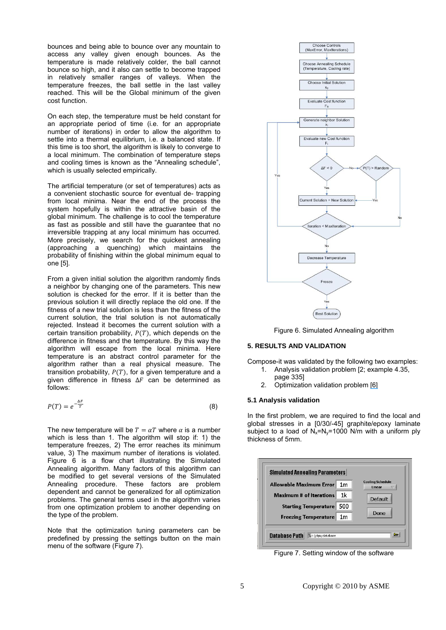bounces and being able to bounce over any mountain to access any valley given enough bounces. As the temperature is made relatively colder, the ball cannot bounce so high, and it also can settle to become trapped in relatively smaller ranges of valleys. When the temperature freezes, the ball settle in the last valley reached. This will be the Global minimum of the given cost function.

On each step, the temperature must be held constant for an appropriate period of time (i.e. for an appropriate number of iterations) in order to allow the algorithm to settle into a thermal equilibrium, i.e. a balanced state. If this time is too short, the algorithm is likely to converge to a local minimum. The combination of temperature steps and cooling times is known as the "Annealing schedule", which is usually selected empirically.

The artificial temperature (or set of temperatures) acts as a convenient stochastic source for eventual de- trapping from local minima. Near the end of the process the system hopefully is within the attractive basin of the global minimum. The challenge is to cool the temperature as fast as possible and still have the guarantee that no irreversible trapping at any local minimum has occurred. More precisely, we search for the quickest annealing (approaching a quenching) which maintains the probability of finishing within the global minimum equal to one [5].

From a given initial solution the algorithm randomly finds a neighbor by changing one of the parameters. This new solution is checked for the error. If it is better than the previous solution it will directly replace the old one. If the fitness of a new trial solution is less than the fitness of the current solution, the trial solution is not automatically rejected. Instead it becomes the current solution with a certain transition probability,  $P(T)$ , which depends on the difference in fitness and the temperature. By this way the algorithm will escape from the local minima. Here temperature is an abstract control parameter for the algorithm rather than a real physical measure. The transition probability,  $P(T)$ , for a given temperature and a given difference in fitness  $\Delta F$  can be determined as follows:

$$
P(T) = e^{-\frac{\Delta F}{T}} \tag{8}
$$

The new temperature will be  $T = \alpha T$  where  $\alpha$  is a number which is less than 1. The algorithm will stop if: 1) the temperature freezes, 2) The error reaches its minimum value, 3) The maximum number of iterations is violated. Figure 6 is a flow chart illustrating the Simulated Annealing algorithm. Many factors of this algorithm can be modified to get several versions of the Simulated Annealing procedure. These factors are problem dependent and cannot be generalized for all optimization problems. The general terms used in the algorithm varies from one optimization problem to another depending on the type of the problem.

Note that the optimization tuning parameters can be predefined by pressing the settings button on the main menu of the software (Figure 7).



Figure 6. Simulated Annealing algorithm

#### **5. RESULTS AND VALIDATION**

Compose-it was validated by the following two examples:

- 1. Analysis validation problem [2; example 4.35, page 335]
- 2. Optimization validation problem [\[6\]](https://www.researchgate.net/publication/222321004_Stacking_sequence_optimization_by_a_genetic_algorithm_with_a_new_recessive_gene_like_repair_strategy?el=1_x_8&enrichId=rgreq-2e7a5f3dc26724f60b49de9254075923-XXX&enrichSource=Y292ZXJQYWdlOzI1OTQ1MTU4MTtBUzo5NzYyNjU2MTE4Nzg0MkAxNDAwMjg3Mzk0MTc0)

#### **5.1 Analysis validation**

In the first problem, we are required to find the local and global stresses in a [0/30/-45] graphite/epoxy laminate subject to a load of  $N_x = N_y = 1000$  N/m with a uniform ply thickness of 5mm.



Figure 7. Setting window of the software